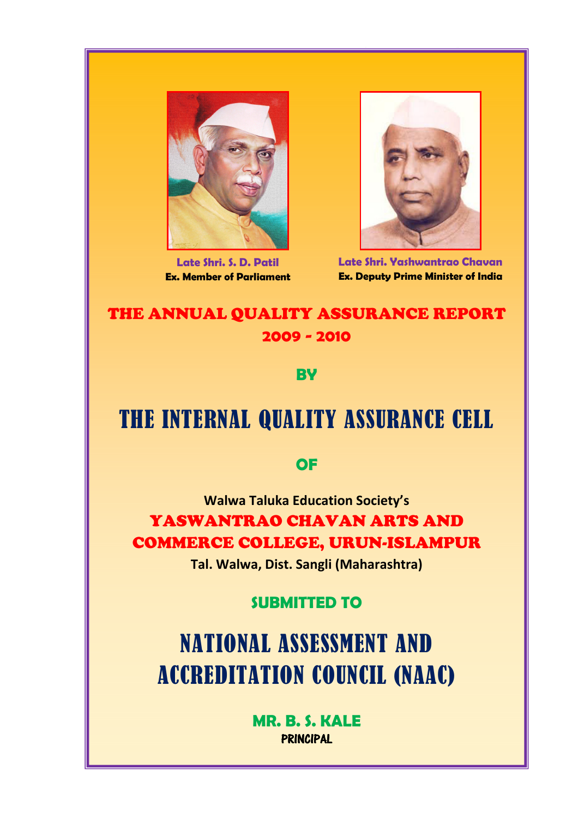

Late Shri. S. D. Patil Ex. Member of Parliament



Late Shri. Yashwantrao Chavan Ex. Deputy Prime Minister of India

# THE ANNUAL QUALITY ASSURANCE REPORT 2009 - 2010

**BY** 

# THE INTERNAL QUALITY ASSURANCE CELL

# **OF**

Walwa Taluka Education Society's YASWANTRAO CHAVAN ARTS AND COMMERCE COLLEGE, URUN-ISLAMPUR

Tal. Walwa, Dist. Sangli (Maharashtra)

# SUBMITTED TO

NATIONAL ASSESSMENT AND ACCREDITATION COUNCIL (NAAC)

> MR. B. S. KALE PRINCIPAL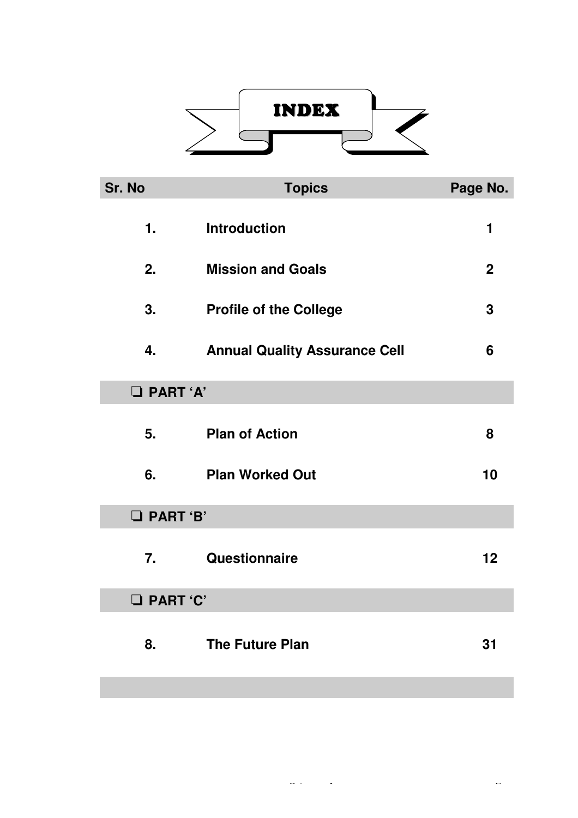

| Sr. No            | <b>Topics</b>                        | Page No.    |  |  |
|-------------------|--------------------------------------|-------------|--|--|
| 1.                | <b>Introduction</b>                  | 1           |  |  |
| 2.                | <b>Mission and Goals</b>             | $\mathbf 2$ |  |  |
| 3.                | <b>Profile of the College</b>        | 3           |  |  |
| 4.                | <b>Annual Quality Assurance Cell</b> | 6           |  |  |
| <b>D</b> PART 'A' |                                      |             |  |  |
| 5.                | <b>Plan of Action</b>                | 8           |  |  |
| 6.                | <b>Plan Worked Out</b>               | 10          |  |  |
| <b>D</b> PART 'B' |                                      |             |  |  |
| 7.                | Questionnaire                        | 12          |  |  |
| <b>Q</b> PART 'C' |                                      |             |  |  |
| 8.                | <b>The Future Plan</b>               | 31          |  |  |
|                   |                                      |             |  |  |

*Yashwantrao Chavan Arts & Commerce College, Islampur* **Page | b**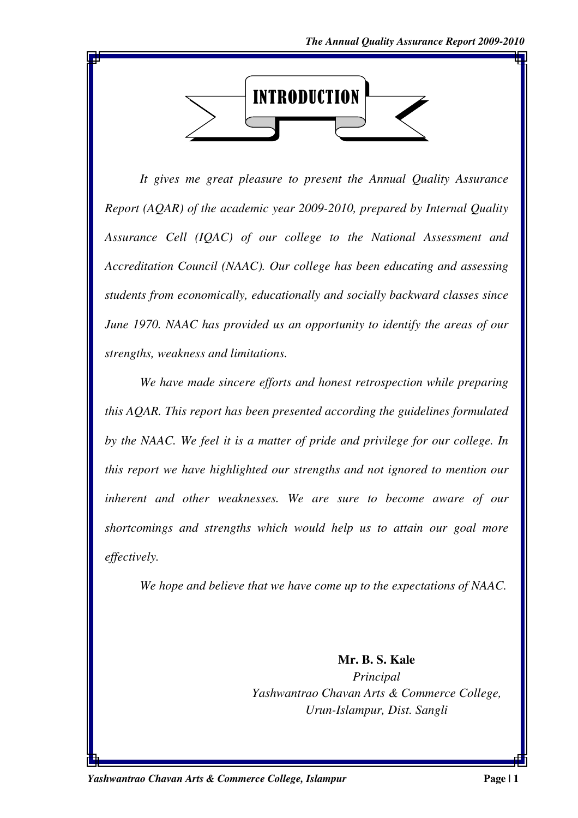

*It gives me great pleasure to present the Annual Quality Assurance Report (AQAR) of the academic year 2009-2010, prepared by Internal Quality Assurance Cell (IQAC) of our college to the National Assessment and Accreditation Council (NAAC). Our college has been educating and assessing students from economically, educationally and socially backward classes since June 1970. NAAC has provided us an opportunity to identify the areas of our strengths, weakness and limitations.* 

*We have made sincere efforts and honest retrospection while preparing this AQAR. This report has been presented according the guidelines formulated by the NAAC. We feel it is a matter of pride and privilege for our college. In this report we have highlighted our strengths and not ignored to mention our inherent and other weaknesses. We are sure to become aware of our shortcomings and strengths which would help us to attain our goal more effectively.* 

*We hope and believe that we have come up to the expectations of NAAC.* 

**Mr. B. S. Kale**  *Principal Yashwantrao Chavan Arts & Commerce College, Urun-Islampur, Dist. Sangli*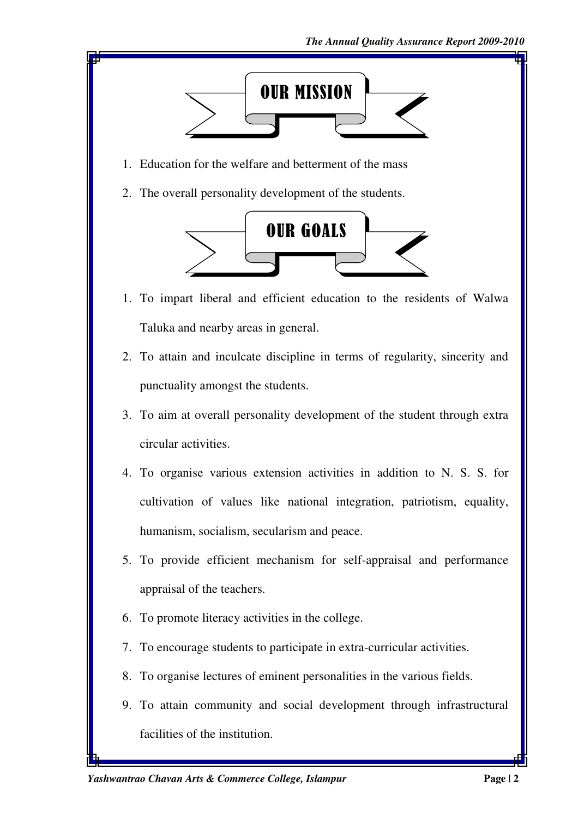

- 1. Education for the welfare and betterment of the mass
- 2. The overall personality development of the students.



- 1. To impart liberal and efficient education to the residents of Walwa Taluka and nearby areas in general.
- 2. To attain and inculcate discipline in terms of regularity, sincerity and punctuality amongst the students.
- 3. To aim at overall personality development of the student through extra circular activities.
- 4. To organise various extension activities in addition to N. S. S. for cultivation of values like national integration, patriotism, equality, humanism, socialism, secularism and peace.
- 5. To provide efficient mechanism for self-appraisal and performance appraisal of the teachers.
- 6. To promote literacy activities in the college.
- 7. To encourage students to participate in extra-curricular activities.
- 8. To organise lectures of eminent personalities in the various fields.
- 9. To attain community and social development through infrastructural facilities of the institution.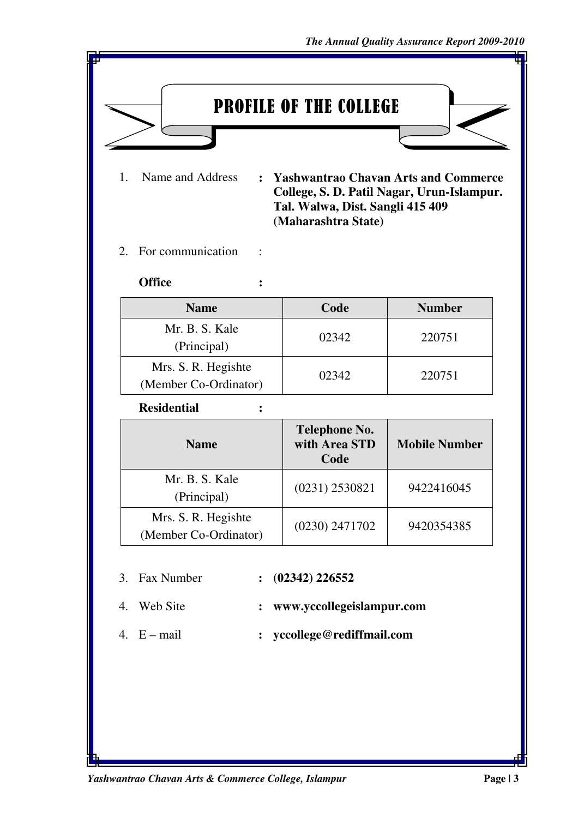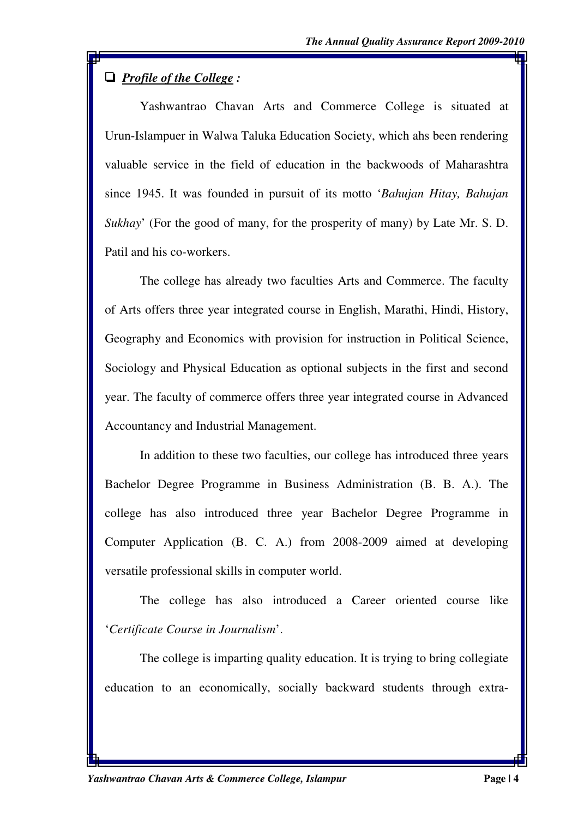# ' *Profile of the College :*

Yashwantrao Chavan Arts and Commerce College is situated at Urun-Islampuer in Walwa Taluka Education Society, which ahs been rendering valuable service in the field of education in the backwoods of Maharashtra since 1945. It was founded in pursuit of its motto '*Bahujan Hitay, Bahujan Sukhay*' (For the good of many, for the prosperity of many) by Late Mr. S. D. Patil and his co-workers.

The college has already two faculties Arts and Commerce. The faculty of Arts offers three year integrated course in English, Marathi, Hindi, History, Geography and Economics with provision for instruction in Political Science, Sociology and Physical Education as optional subjects in the first and second year. The faculty of commerce offers three year integrated course in Advanced Accountancy and Industrial Management.

In addition to these two faculties, our college has introduced three years Bachelor Degree Programme in Business Administration (B. B. A.). The college has also introduced three year Bachelor Degree Programme in Computer Application (B. C. A.) from 2008-2009 aimed at developing versatile professional skills in computer world.

The college has also introduced a Career oriented course like '*Certificate Course in Journalism*'.

The college is imparting quality education. It is trying to bring collegiate education to an economically, socially backward students through extra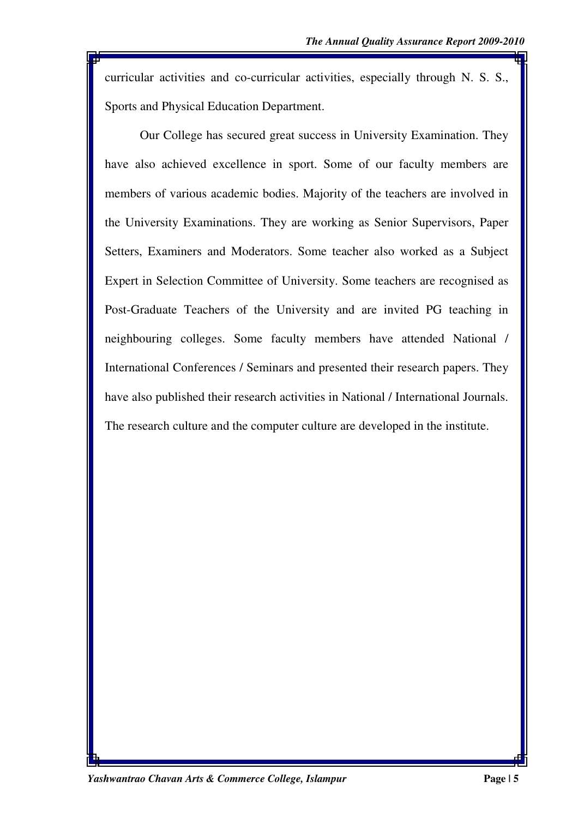curricular activities and co-curricular activities, especially through N. S. S., Sports and Physical Education Department.

Our College has secured great success in University Examination. They have also achieved excellence in sport. Some of our faculty members are members of various academic bodies. Majority of the teachers are involved in the University Examinations. They are working as Senior Supervisors, Paper Setters, Examiners and Moderators. Some teacher also worked as a Subject Expert in Selection Committee of University. Some teachers are recognised as Post-Graduate Teachers of the University and are invited PG teaching in neighbouring colleges. Some faculty members have attended National / International Conferences / Seminars and presented their research papers. They have also published their research activities in National / International Journals. The research culture and the computer culture are developed in the institute.

*Yashwantrao Chavan Arts & Commerce College, Islampur* **Page | 5**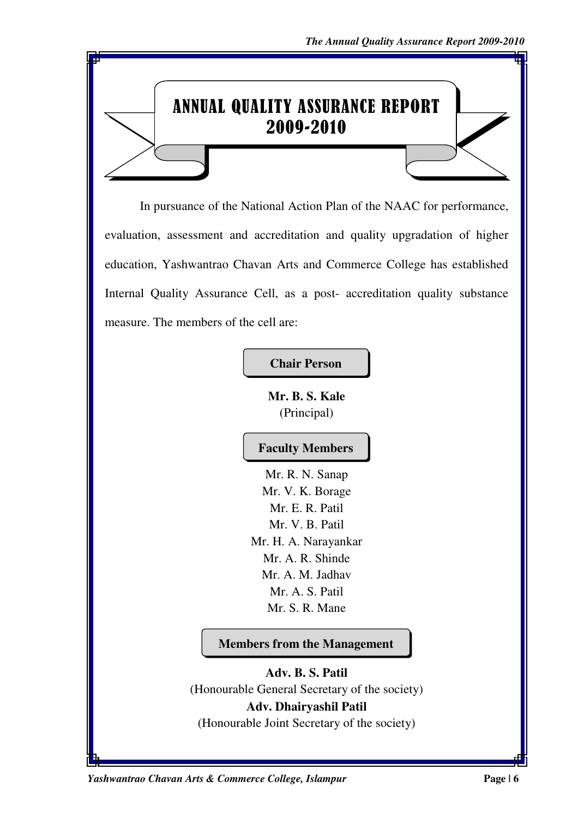# ANNUAL QUALITY ASSURANCE REPORT 2009-2010

In pursuance of the National Action Plan of the NAAC for performance, evaluation, assessment and accreditation and quality upgradation of higher education, Yashwantrao Chavan Arts and Commerce College has established Internal Quality Assurance Cell, as a post- accreditation quality substance measure. The members of the cell are:

**Chair Person** 

**Mr. B. S. Kale**  (Principal)

# **Faculty Members**

Mr. R. N. Sanap Mr. V. K. Borage Mr. E. R. Patil Mr. V. B. Patil Mr. H. A. Narayankar Mr. A. R. Shinde Mr. A. M. Jadhav Mr. A. S. Patil Mr. S. R. Mane

**Members from the Management** 

**Adv. B. S. Patil**  (Honourable General Secretary of the society) **Adv. Dhairyashil Patil**  (Honourable Joint Secretary of the society)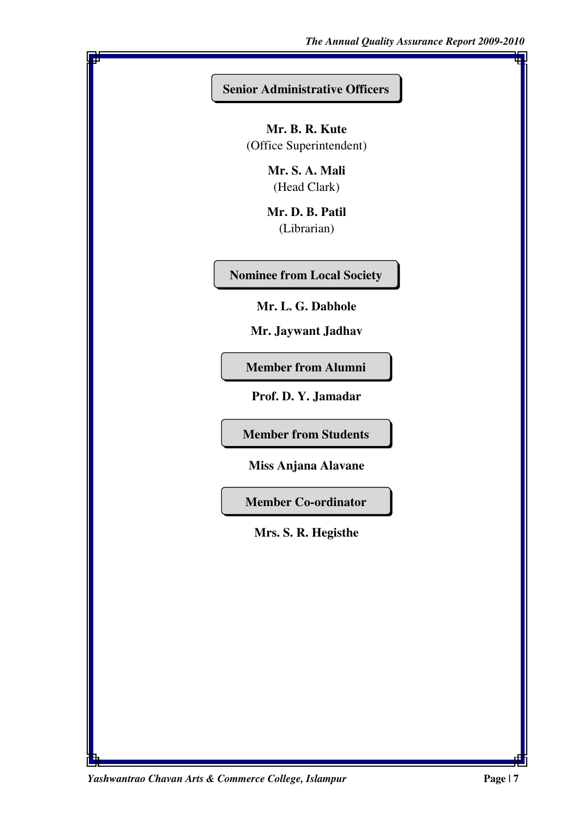#### **Senior Administrative Officers**

**Mr. B. R. Kute**  (Office Superintendent)

> **Mr. S. A. Mali**  (Head Clark)

**Mr. D. B. Patil**  (Librarian)

**Nominee from Local Society** 

**Mr. L. G. Dabhole** 

**Mr. Jaywant Jadhav** 

**Member from Alumni** 

**Prof. D. Y. Jamadar** 

**Member from Students** 

**Miss Anjana Alavane**

**Member Co-ordinator** 

**Mrs. S. R. Hegisthe** 

*Yashwantrao Chavan Arts & Commerce College, Islampur* **Page | 7**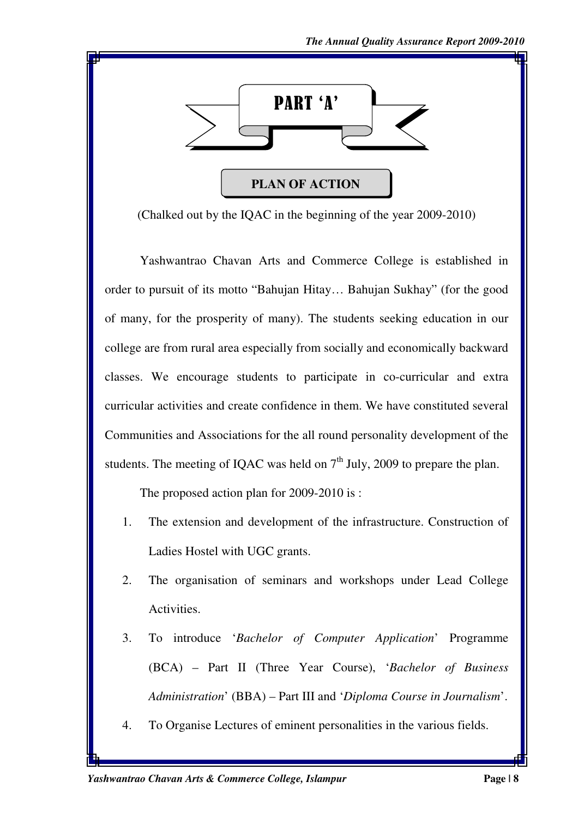

(Chalked out by the IQAC in the beginning of the year 2009-2010)

Yashwantrao Chavan Arts and Commerce College is established in order to pursuit of its motto "Bahujan Hitay… Bahujan Sukhay" (for the good of many, for the prosperity of many). The students seeking education in our college are from rural area especially from socially and economically backward classes. We encourage students to participate in co-curricular and extra curricular activities and create confidence in them. We have constituted several Communities and Associations for the all round personality development of the students. The meeting of IQAC was held on  $7<sup>th</sup>$  July, 2009 to prepare the plan.

The proposed action plan for 2009-2010 is :

- 1. The extension and development of the infrastructure. Construction of Ladies Hostel with UGC grants.
- 2. The organisation of seminars and workshops under Lead College Activities.
- 3. To introduce '*Bachelor of Computer Application*' Programme (BCA) – Part II (Three Year Course), '*Bachelor of Business Administration*' (BBA) – Part III and '*Diploma Course in Journalism*'.
- 4. To Organise Lectures of eminent personalities in the various fields.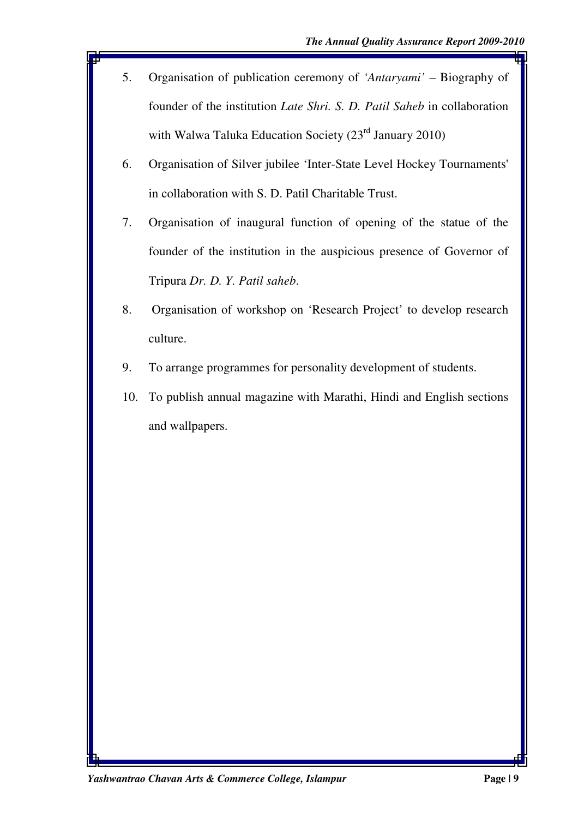- 5. Organisation of publication ceremony of *'Antaryami'* Biography of founder of the institution *Late Shri. S. D. Patil Saheb* in collaboration with Walwa Taluka Education Society (23<sup>rd</sup> January 2010)
- 6. Organisation of Silver jubilee 'Inter-State Level Hockey Tournaments' in collaboration with S. D. Patil Charitable Trust.
- 7. Organisation of inaugural function of opening of the statue of the founder of the institution in the auspicious presence of Governor of Tripura *Dr. D. Y. Patil saheb*.
- 8. Organisation of workshop on 'Research Project' to develop research culture.
- 9. To arrange programmes for personality development of students.
- 10. To publish annual magazine with Marathi, Hindi and English sections and wallpapers.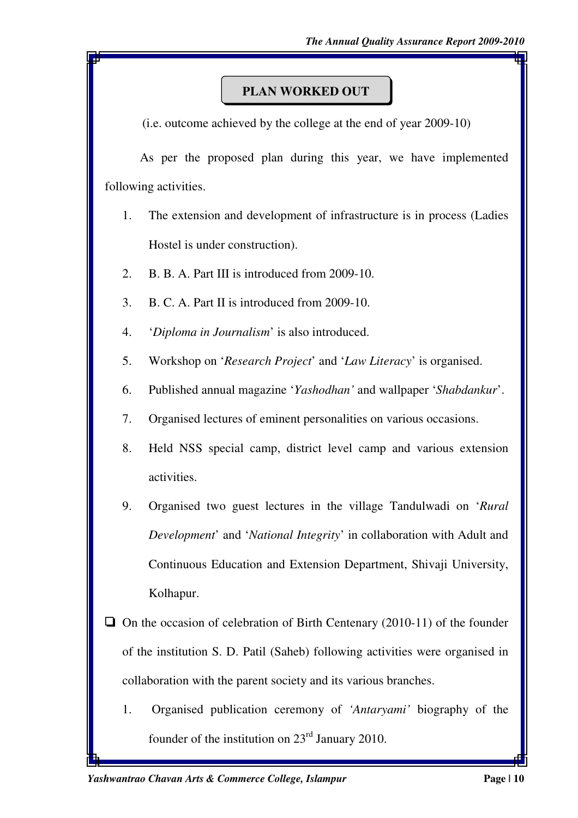## **PLAN WORKED OUT**

(i.e. outcome achieved by the college at the end of year 2009-10)

 As per the proposed plan during this year, we have implemented following activities.

- 1. The extension and development of infrastructure is in process (Ladies Hostel is under construction).
- 2. B. B. A. Part III is introduced from 2009-10.
- 3. B. C. A. Part II is introduced from 2009-10.
- 4. '*Diploma in Journalism*' is also introduced.
- 5. Workshop on '*Research Project*' and '*Law Literacy*' is organised.
- 6. Published annual magazine '*Yashodhan'* and wallpaper '*Shabdankur*'.
- 7. Organised lectures of eminent personalities on various occasions.
- 8. Held NSS special camp, district level camp and various extension activities.
- 9. Organised two guest lectures in the village Tandulwadi on '*Rural Development*' and '*National Integrity*' in collaboration with Adult and Continuous Education and Extension Department, Shivaji University, Kolhapur.
- $\Box$  On the occasion of celebration of Birth Centenary (2010-11) of the founder of the institution S. D. Patil (Saheb) following activities were organised in collaboration with the parent society and its various branches.
	- 1. Organised publication ceremony of *'Antaryami'* biography of the founder of the institution on  $23<sup>rd</sup>$  January 2010.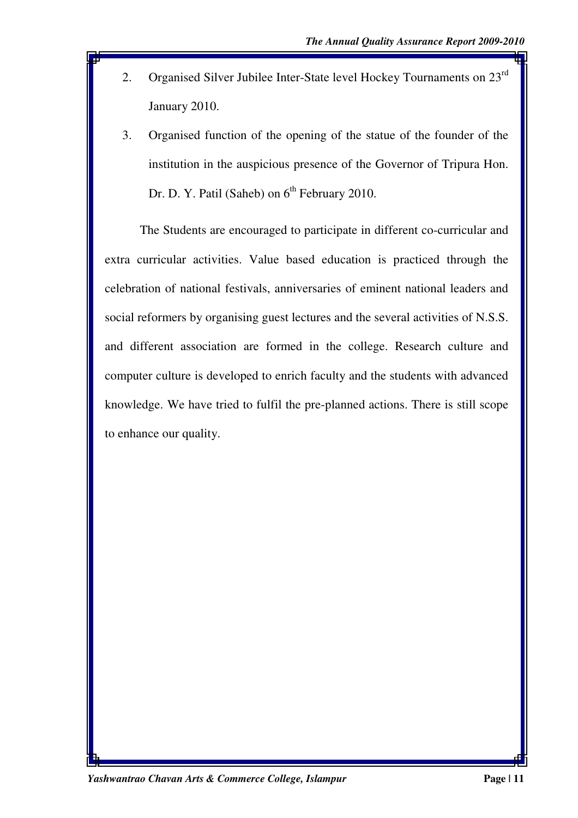- 2. Organised Silver Jubilee Inter-State level Hockey Tournaments on 23<sup>rd</sup> January 2010.
- 3. Organised function of the opening of the statue of the founder of the institution in the auspicious presence of the Governor of Tripura Hon. Dr. D. Y. Patil (Saheb) on  $6<sup>th</sup>$  February 2010.

The Students are encouraged to participate in different co-curricular and extra curricular activities. Value based education is practiced through the celebration of national festivals, anniversaries of eminent national leaders and social reformers by organising guest lectures and the several activities of N.S.S. and different association are formed in the college. Research culture and computer culture is developed to enrich faculty and the students with advanced knowledge. We have tried to fulfil the pre-planned actions. There is still scope to enhance our quality.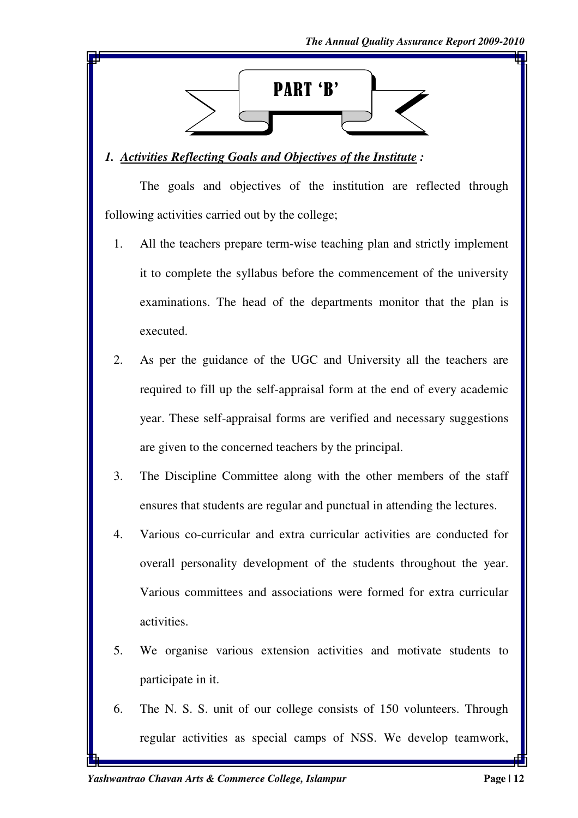

# *1. Activities Reflecting Goals and Objectives of the Institute :*

The goals and objectives of the institution are reflected through following activities carried out by the college;

- 1. All the teachers prepare term-wise teaching plan and strictly implement it to complete the syllabus before the commencement of the university examinations. The head of the departments monitor that the plan is executed.
- 2. As per the guidance of the UGC and University all the teachers are required to fill up the self-appraisal form at the end of every academic year. These self-appraisal forms are verified and necessary suggestions are given to the concerned teachers by the principal.
- 3. The Discipline Committee along with the other members of the staff ensures that students are regular and punctual in attending the lectures.
- 4. Various co-curricular and extra curricular activities are conducted for overall personality development of the students throughout the year. Various committees and associations were formed for extra curricular activities.
- 5. We organise various extension activities and motivate students to participate in it.
- 6. The N. S. S. unit of our college consists of 150 volunteers. Through regular activities as special camps of NSS. We develop teamwork,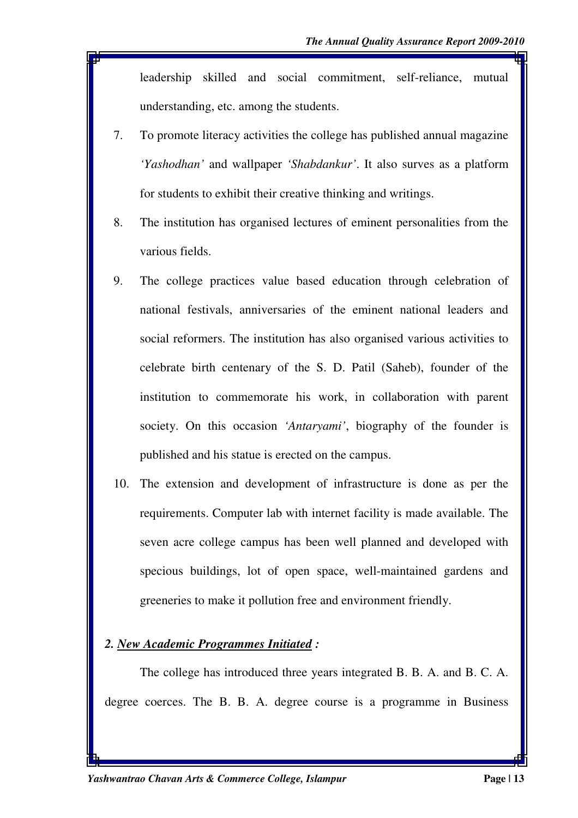leadership skilled and social commitment, self-reliance, mutual understanding, etc. among the students.

- 7. To promote literacy activities the college has published annual magazine *'Yashodhan'* and wallpaper *'Shabdankur'*. It also surves as a platform for students to exhibit their creative thinking and writings.
- 8. The institution has organised lectures of eminent personalities from the various fields.
- 9. The college practices value based education through celebration of national festivals, anniversaries of the eminent national leaders and social reformers. The institution has also organised various activities to celebrate birth centenary of the S. D. Patil (Saheb), founder of the institution to commemorate his work, in collaboration with parent society. On this occasion *'Antaryami'*, biography of the founder is published and his statue is erected on the campus.
- 10. The extension and development of infrastructure is done as per the requirements. Computer lab with internet facility is made available. The seven acre college campus has been well planned and developed with specious buildings, lot of open space, well-maintained gardens and greeneries to make it pollution free and environment friendly.

#### *2. New Academic Programmes Initiated :*

The college has introduced three years integrated B. B. A. and B. C. A. degree coerces. The B. B. A. degree course is a programme in Business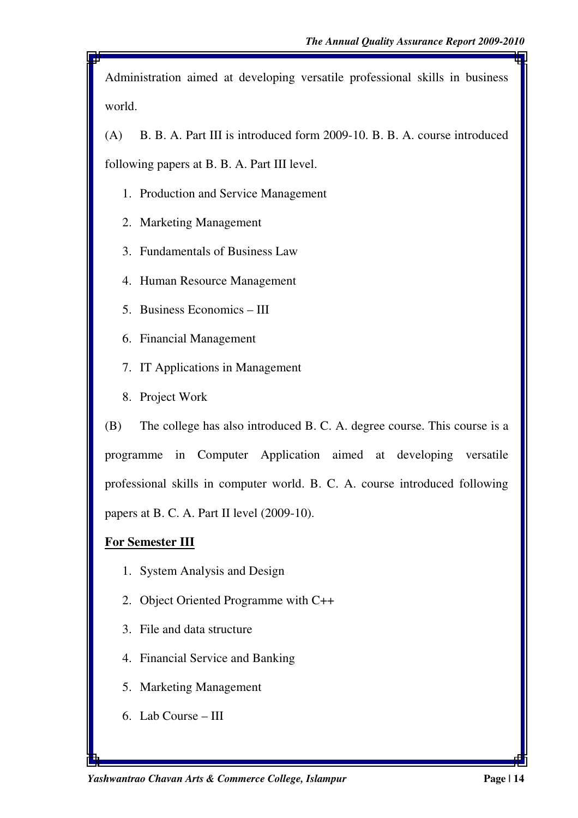Administration aimed at developing versatile professional skills in business world.

(A) B. B. A. Part III is introduced form 2009-10. B. B. A. course introduced following papers at B. B. A. Part III level.

- 1. Production and Service Management
- 2. Marketing Management
- 3. Fundamentals of Business Law
- 4. Human Resource Management
- 5. Business Economics III
- 6. Financial Management
- 7. IT Applications in Management
- 8. Project Work

(B) The college has also introduced B. C. A. degree course. This course is a programme in Computer Application aimed at developing versatile professional skills in computer world. B. C. A. course introduced following papers at B. C. A. Part II level (2009-10).

#### **For Semester III**

- 1. System Analysis and Design
- 2. Object Oriented Programme with C++
- 3. File and data structure
- 4. Financial Service and Banking
- 5. Marketing Management
- 6. Lab Course III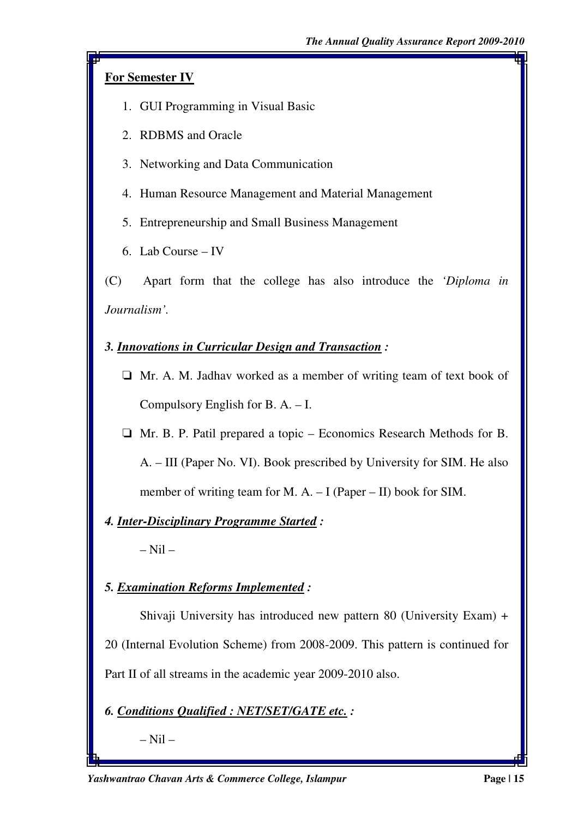# **For Semester IV**

- 1. GUI Programming in Visual Basic
- 2. RDBMS and Oracle
- 3. Networking and Data Communication
- 4. Human Resource Management and Material Management
- 5. Entrepreneurship and Small Business Management
- 6. Lab Course IV

(C) Apart form that the college has also introduce the *'Diploma in Journalism'.*

# *3. Innovations in Curricular Design and Transaction :*

- $\Box$  Mr. A. M. Jadhav worked as a member of writing team of text book of Compulsory English for B. A. – I.
- $\Box$  Mr. B. P. Patil prepared a topic Economics Research Methods for B. A. – III (Paper No. VI). Book prescribed by University for SIM. He also member of writing team for M. A. – I (Paper – II) book for SIM.

# *4. Inter-Disciplinary Programme Started :*

– Nil –

# *5. Examination Reforms Implemented :*

Shivaji University has introduced new pattern 80 (University Exam) + 20 (Internal Evolution Scheme) from 2008-2009. This pattern is continued for Part II of all streams in the academic year 2009-2010 also.

# *6. Conditions Qualified : NET/SET/GATE etc. :*

– Nil –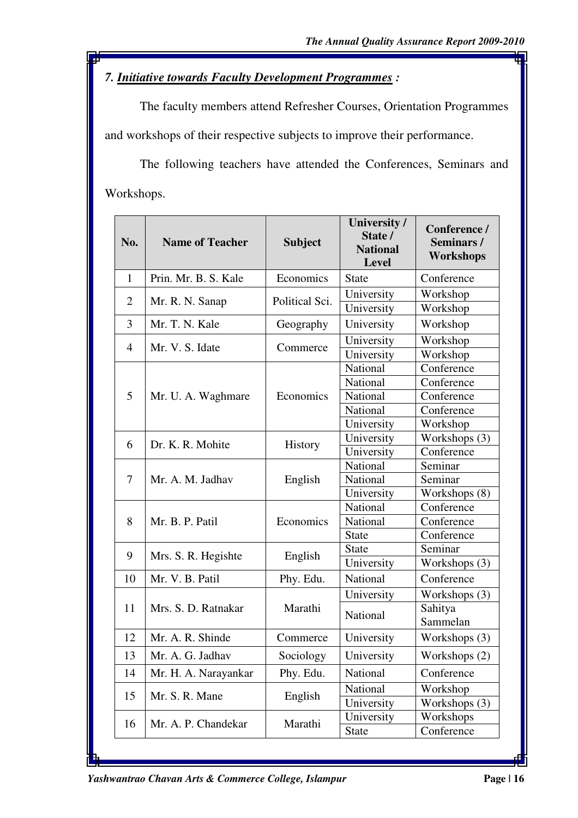# *7. Initiative towards Faculty Development Programmes :*

The faculty members attend Refresher Courses, Orientation Programmes and workshops of their respective subjects to improve their performance.

The following teachers have attended the Conferences, Seminars and Workshops.

| No.            | <b>Name of Teacher</b> | <b>Subject</b> | University /<br>State /<br><b>National</b><br><b>Level</b> | Conference /<br>Seminars/<br><b>Workshops</b> |
|----------------|------------------------|----------------|------------------------------------------------------------|-----------------------------------------------|
| $\mathbf{1}$   | Prin. Mr. B. S. Kale   | Economics      | <b>State</b>                                               | Conference                                    |
| $\overline{2}$ | Mr. R. N. Sanap        | Political Sci. | University                                                 | Workshop                                      |
|                |                        |                | University                                                 | Workshop                                      |
| 3              | Mr. T. N. Kale         | Geography      | University                                                 | Workshop                                      |
| $\overline{4}$ | Mr. V. S. Idate        | Commerce       | University                                                 | Workshop                                      |
|                |                        |                | University                                                 | Workshop                                      |
|                |                        |                | National                                                   | Conference                                    |
|                |                        |                | National                                                   | Conference                                    |
| 5              | Mr. U. A. Waghmare     | Economics      | National                                                   | Conference                                    |
|                |                        |                | National                                                   | Conference                                    |
|                |                        |                | University                                                 | Workshop                                      |
| 6              | Dr. K. R. Mohite       |                | University                                                 | Workshops (3)                                 |
|                |                        | <b>History</b> | University                                                 | Conference                                    |
|                |                        |                | National                                                   | Seminar                                       |
| $\tau$         | Mr. A. M. Jadhav       | English        | National                                                   | Seminar                                       |
|                |                        |                | University                                                 | Workshops (8)                                 |
|                |                        |                | National                                                   | Conference                                    |
| 8              | Mr. B. P. Patil        | Economics      | National                                                   | Conference                                    |
|                |                        |                | <b>State</b>                                               | Conference                                    |
| 9              |                        |                | <b>State</b>                                               | Seminar                                       |
|                | Mrs. S. R. Hegishte    | English        | University                                                 | Workshops (3)                                 |
| 10             | Mr. V. B. Patil        | Phy. Edu.      | National                                                   | Conference                                    |
|                |                        |                | University                                                 | Workshops (3)                                 |
| 11             | Mrs. S. D. Ratnakar    | Marathi        | National                                                   | Sahitya                                       |
|                |                        |                |                                                            | Sammelan                                      |
| 12             | Mr. A. R. Shinde       | Commerce       | University                                                 | Workshops (3)                                 |
| 13             | Mr. A. G. Jadhav       | Sociology      | University                                                 | Workshops (2)                                 |
| 14             | Mr. H. A. Narayankar   | Phy. Edu.      | National                                                   | Conference                                    |
|                |                        | English        | National                                                   | Workshop                                      |
| 15             | Mr. S. R. Mane         |                | University                                                 | Workshops (3)                                 |
|                |                        |                | University                                                 | Workshops                                     |
| 16             | Mr. A. P. Chandekar    | Marathi        | <b>State</b>                                               | Conference                                    |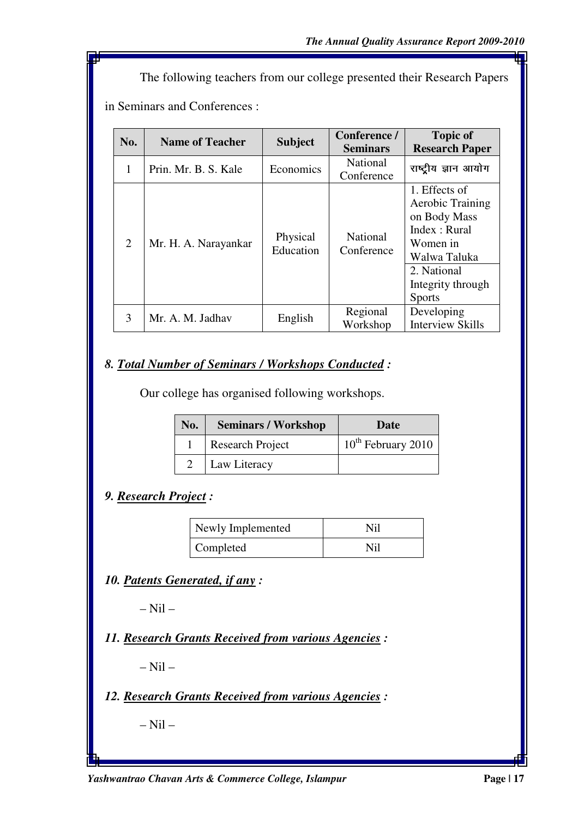The following teachers from our college presented their Research Papers in Seminars and Conferences :

| No.            | <b>Name of Teacher</b> | <b>Subject</b>        | Conference /<br><b>Seminars</b> | <b>Topic of</b><br><b>Research Paper</b>                                                                                                            |
|----------------|------------------------|-----------------------|---------------------------------|-----------------------------------------------------------------------------------------------------------------------------------------------------|
| 1              | Prin. Mr. B. S. Kale   | Economics             | National<br>Conference          | राष्ट्रीय ज्ञान आयोग                                                                                                                                |
| $\overline{2}$ | Mr. H. A. Narayankar   | Physical<br>Education | National<br>Conference          | 1. Effects of<br>Aerobic Training<br>on Body Mass<br>Index : Rural<br>Women in<br>Walwa Taluka<br>2. National<br>Integrity through<br><b>Sports</b> |
| 3              | Mr. A. M. Jadhav       | English               | Regional<br>Workshop            | Developing<br><b>Interview Skills</b>                                                                                                               |

# *8. Total Number of Seminars / Workshops Conducted :*

Our college has organised following workshops.

| No. | <b>Seminars / Workshop</b> | Date                           |
|-----|----------------------------|--------------------------------|
|     | <b>Research Project</b>    | 10 <sup>th</sup> February 2010 |
|     | Law Literacy               |                                |

# *9. Research Project :*

| Newly Implemented | Nil |
|-------------------|-----|
| Completed         | Nil |

*10. Patents Generated, if any :* 

 $-$  Nil  $-$ 

*11. Research Grants Received from various Agencies :* 

 $-$  Nil  $-$ 

*12. Research Grants Received from various Agencies :* 

– Nil –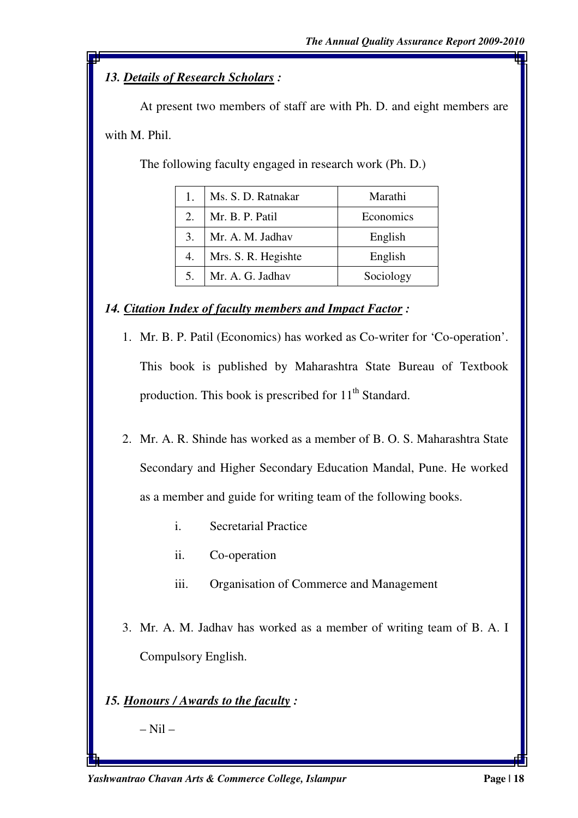# *13. Details of Research Scholars :*

At present two members of staff are with Ph. D. and eight members are with M. Phil.

The following faculty engaged in research work (Ph. D.)

|    | Ms. S. D. Ratnakar  | Marathi   |
|----|---------------------|-----------|
| 2. | Mr. B. P. Patil     | Economics |
| 3. | Mr. A. M. Jadhav    | English   |
| 4. | Mrs. S. R. Hegishte | English   |
|    | Mr. A. G. Jadhav    | Sociology |

*14. Citation Index of faculty members and Impact Factor :* 

- 1. Mr. B. P. Patil (Economics) has worked as Co-writer for 'Co-operation'. This book is published by Maharashtra State Bureau of Textbook production. This book is prescribed for  $11<sup>th</sup>$  Standard.
- 2. Mr. A. R. Shinde has worked as a member of B. O. S. Maharashtra State Secondary and Higher Secondary Education Mandal, Pune. He worked as a member and guide for writing team of the following books.
	- i. Secretarial Practice
	- ii. Co-operation
	- iii. Organisation of Commerce and Management
- 3. Mr. A. M. Jadhav has worked as a member of writing team of B. A. I Compulsory English.

# *15. Honours / Awards to the faculty :*

 $-$  Nil  $-$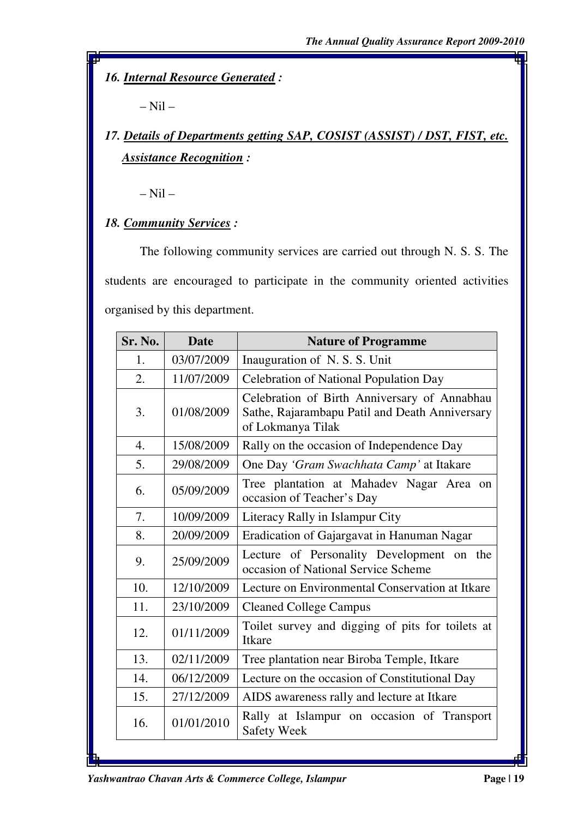*16. Internal Resource Generated :* 

– Nil –

# *17. Details of Departments getting SAP, COSIST (ASSIST) / DST, FIST, etc. Assistance Recognition :*

 $-$  Nil  $-$ 

*18. Community Services :* 

The following community services are carried out through N. S. S. The students are encouraged to participate in the community oriented activities organised by this department.

| Sr. No.          | <b>Date</b> | <b>Nature of Programme</b>                                                                                          |  |
|------------------|-------------|---------------------------------------------------------------------------------------------------------------------|--|
| 1.               | 03/07/2009  | Inauguration of N. S. S. Unit                                                                                       |  |
| $\overline{2}$ . | 11/07/2009  | Celebration of National Population Day                                                                              |  |
| 3.               | 01/08/2009  | Celebration of Birth Anniversary of Annabhau<br>Sathe, Rajarambapu Patil and Death Anniversary<br>of Lokmanya Tilak |  |
| $\overline{4}$ . | 15/08/2009  | Rally on the occasion of Independence Day                                                                           |  |
| 5.               | 29/08/2009  | One Day 'Gram Swachhata Camp' at Itakare                                                                            |  |
| 6.               | 05/09/2009  | Tree plantation at Mahadev Nagar Area on<br>occasion of Teacher's Day                                               |  |
| 7.               | 10/09/2009  | Literacy Rally in Islampur City                                                                                     |  |
| 8.               | 20/09/2009  | Eradication of Gajargavat in Hanuman Nagar                                                                          |  |
| 9.               | 25/09/2009  | Lecture of Personality Development on the<br>occasion of National Service Scheme                                    |  |
| 10.              | 12/10/2009  | Lecture on Environmental Conservation at Itkare                                                                     |  |
| 11.              | 23/10/2009  | <b>Cleaned College Campus</b>                                                                                       |  |
| 12.              | 01/11/2009  | Toilet survey and digging of pits for toilets at<br><b>Itkare</b>                                                   |  |
| 13.              | 02/11/2009  | Tree plantation near Biroba Temple, Itkare                                                                          |  |
| 14.              | 06/12/2009  | Lecture on the occasion of Constitutional Day                                                                       |  |
| 15.              | 27/12/2009  | AIDS awareness rally and lecture at Itkare                                                                          |  |
| 16.              | 01/01/2010  | Rally at Islampur on occasion of Transport<br><b>Safety Week</b>                                                    |  |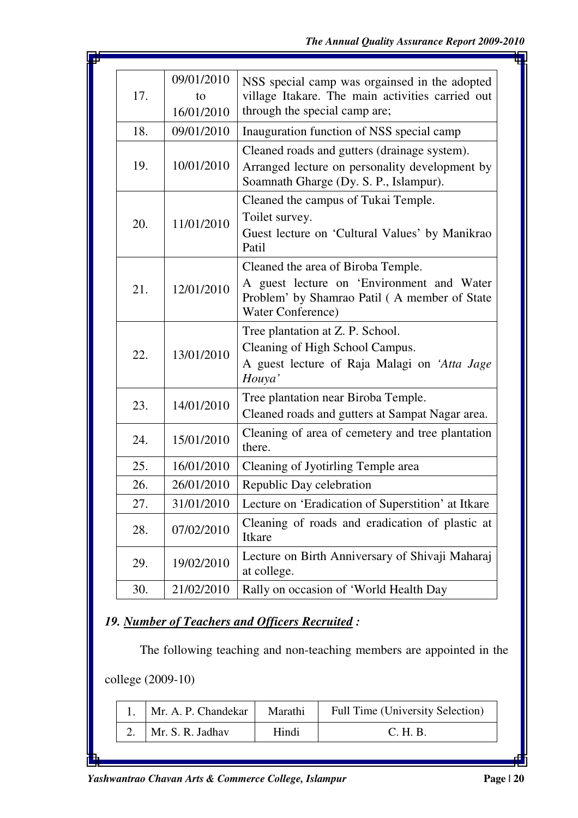| 17. | 09/01/2010<br>to<br>16/01/2010 | NSS special camp was orgainsed in the adopted<br>village Itakare. The main activities carried out<br>through the special camp are;       |
|-----|--------------------------------|------------------------------------------------------------------------------------------------------------------------------------------|
| 18. | 09/01/2010                     |                                                                                                                                          |
|     |                                | Inauguration function of NSS special camp                                                                                                |
| 19. | 10/01/2010                     | Cleaned roads and gutters (drainage system).<br>Arranged lecture on personality development by<br>Soamnath Gharge (Dy. S. P., Islampur). |
|     |                                | Cleaned the campus of Tukai Temple.                                                                                                      |
|     |                                | Toilet survey.                                                                                                                           |
| 20. | 11/01/2010                     | Guest lecture on 'Cultural Values' by Manikrao<br>Patil                                                                                  |
|     |                                | Cleaned the area of Biroba Temple.                                                                                                       |
| 21. | 12/01/2010                     | A guest lecture on 'Environment and Water<br>Problem' by Shamrao Patil (A member of State<br>Water Conference)                           |
|     |                                | Tree plantation at Z. P. School.                                                                                                         |
|     | 13/01/2010                     | Cleaning of High School Campus.                                                                                                          |
| 22. |                                | A guest lecture of Raja Malagi on 'Atta Jage<br>Houya'                                                                                   |
|     |                                | Tree plantation near Biroba Temple.                                                                                                      |
| 23. | 14/01/2010                     | Cleaned roads and gutters at Sampat Nagar area.                                                                                          |
| 24. | 15/01/2010                     | Cleaning of area of cemetery and tree plantation<br>there.                                                                               |
| 25. | 16/01/2010                     | Cleaning of Jyotirling Temple area                                                                                                       |
| 26. | 26/01/2010                     | Republic Day celebration                                                                                                                 |
| 27. | 31/01/2010                     | Lecture on 'Eradication of Superstition' at Itkare                                                                                       |
| 28. | 07/02/2010                     | Cleaning of roads and eradication of plastic at<br>Itkare                                                                                |
| 29. | 19/02/2010                     | Lecture on Birth Anniversary of Shivaji Maharaj<br>at college.                                                                           |
| 30. | 21/02/2010                     | Rally on occasion of 'World Health Day                                                                                                   |

# *19. Number of Teachers and Officers Recruited :*

The following teaching and non-teaching members are appointed in the

college (2009-10)

| Mr. A. P. Chandekar | Marathi | Full Time (University Selection) |
|---------------------|---------|----------------------------------|
| Mr. S. R. Jadhav    | Hindi   | C. H. B.                         |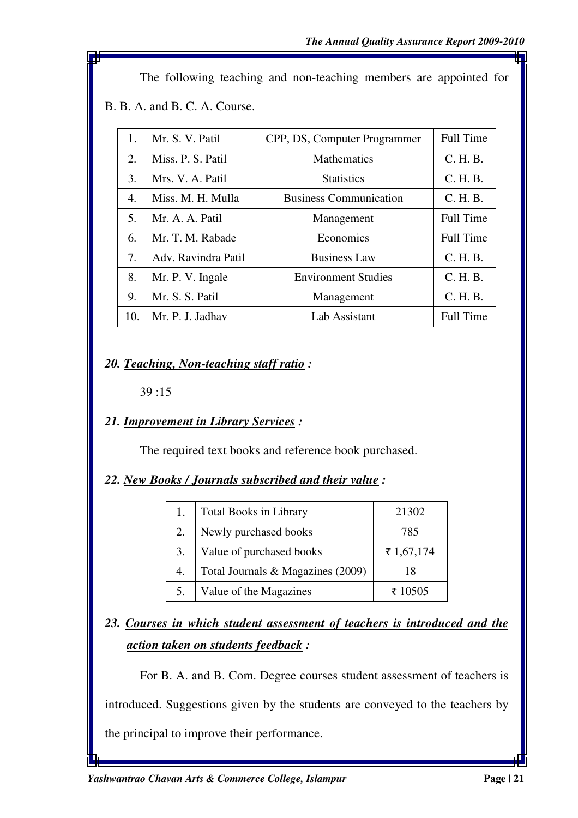The following teaching and non-teaching members are appointed for

B. B. A. and B. C. A. Course.

| 1.  | Mr. S. V. Patil     | CPP, DS, Computer Programmer  | <b>Full Time</b> |
|-----|---------------------|-------------------------------|------------------|
| 2.  | Miss. P. S. Patil   | <b>Mathematics</b>            | C. H. B.         |
| 3.  | Mrs. V. A. Patil    | <b>Statistics</b>             | C. H. B.         |
| 4.  | Miss. M. H. Mulla   | <b>Business Communication</b> | C. H. B.         |
| 5.  | Mr. A. A. Patil     | Management                    | <b>Full Time</b> |
| 6.  | Mr. T. M. Rabade    | Economics                     | <b>Full Time</b> |
| 7.  | Adv. Ravindra Patil | <b>Business Law</b>           | C. H. B.         |
| 8.  | Mr. P. V. Ingale    | <b>Environment Studies</b>    | C. H. B.         |
| 9.  | Mr. S. S. Patil     | Management                    | C. H. B.         |
| 10. | Mr. P. J. Jadhav    | Lab Assistant                 | <b>Full Time</b> |

### *20. Teaching, Non-teaching staff ratio :*

39 :15

# *21. Improvement in Library Services :*

The required text books and reference book purchased.

#### *22. New Books / Journals subscribed and their value :*

| 1. | <b>Total Books in Library</b>     | 21302      |
|----|-----------------------------------|------------|
| 2. | Newly purchased books             | 785        |
| 3. | Value of purchased books          | ₹ 1,67,174 |
| 4. | Total Journals & Magazines (2009) | 18         |
| 5. | Value of the Magazines            | ₹ 10505    |

# *23. Courses in which student assessment of teachers is introduced and the action taken on students feedback :*

For B. A. and B. Com. Degree courses student assessment of teachers is

introduced. Suggestions given by the students are conveyed to the teachers by

the principal to improve their performance.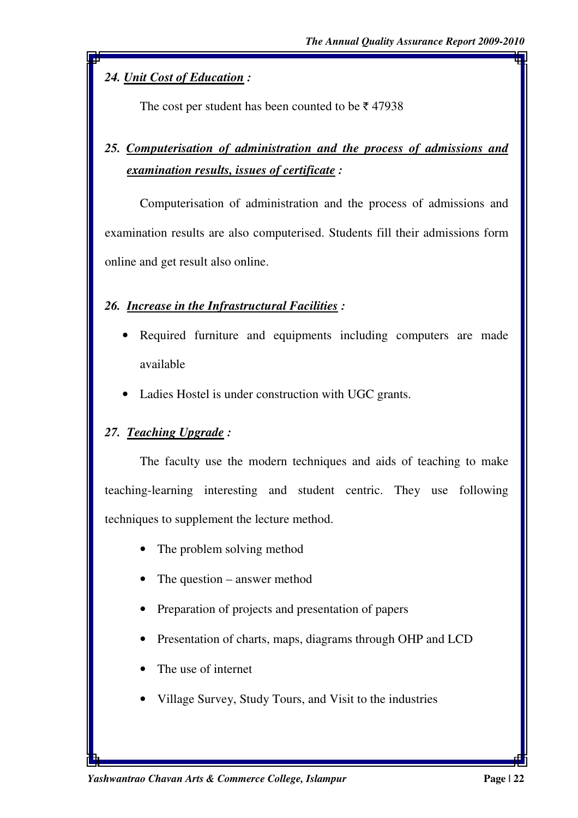# *24. Unit Cost of Education :*

The cost per student has been counted to be  $\bar{\tau}$  47938

# *25. Computerisation of administration and the process of admissions and examination results, issues of certificate :*

Computerisation of administration and the process of admissions and examination results are also computerised. Students fill their admissions form online and get result also online.

# *26. Increase in the Infrastructural Facilities :*

- Required furniture and equipments including computers are made available
- Ladies Hostel is under construction with UGC grants.

# *27. Teaching Upgrade :*

 The faculty use the modern techniques and aids of teaching to make teaching-learning interesting and student centric. They use following techniques to supplement the lecture method.

- The problem solving method
- The question answer method
- Preparation of projects and presentation of papers
- Presentation of charts, maps, diagrams through OHP and LCD
- The use of internet
- Village Survey, Study Tours, and Visit to the industries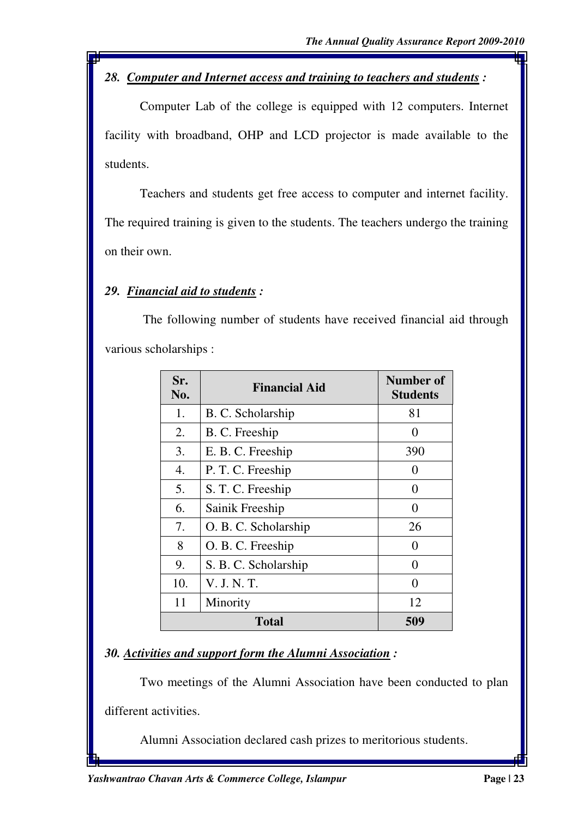# *28. Computer and Internet access and training to teachers and students :*

 Computer Lab of the college is equipped with 12 computers. Internet facility with broadband, OHP and LCD projector is made available to the students.

 Teachers and students get free access to computer and internet facility. The required training is given to the students. The teachers undergo the training on their own.

### *29. Financial aid to students :*

 The following number of students have received financial aid through various scholarships :

| Sr.<br>No. | <b>Financial Aid</b> | Number of<br><b>Students</b> |  |
|------------|----------------------|------------------------------|--|
| 1.         | B. C. Scholarship    | 81                           |  |
| 2.         | B. C. Freeship       | $\mathbf{\Omega}$            |  |
| 3.         | E. B. C. Freeship    | 390                          |  |
| 4.         | P. T. C. Freeship    | $\Omega$                     |  |
| 5.         | S. T. C. Freeship    | $\theta$                     |  |
| 6.         | Sainik Freeship      | $\Omega$                     |  |
| 7.         | O. B. C. Scholarship | 26                           |  |
| 8          | O. B. C. Freeship    | $\Omega$                     |  |
| 9.         | S. B. C. Scholarship | $\theta$                     |  |
| 10.        | V. J. N. T.          | $\Omega$                     |  |
| 11         | Minority             | 12                           |  |
|            | <b>Total</b>         |                              |  |

# *30. Activities and support form the Alumni Association :*

Two meetings of the Alumni Association have been conducted to plan

different activities.

Alumni Association declared cash prizes to meritorious students.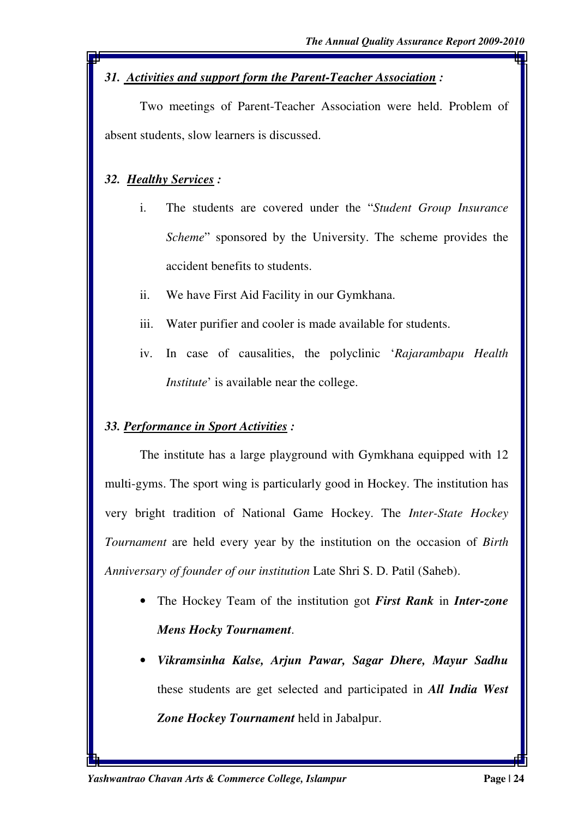# *31. Activities and support form the Parent-Teacher Association :*

 Two meetings of Parent-Teacher Association were held. Problem of absent students, slow learners is discussed.

# *32. Healthy Services :*

- i. The students are covered under the "*Student Group Insurance Scheme*" sponsored by the University. The scheme provides the accident benefits to students.
- ii. We have First Aid Facility in our Gymkhana.
- iii. Water purifier and cooler is made available for students.
- iv. In case of causalities, the polyclinic '*Rajarambapu Health Institute*' is available near the college.

# *33. Performance in Sport Activities :*

 The institute has a large playground with Gymkhana equipped with 12 multi-gyms. The sport wing is particularly good in Hockey. The institution has very bright tradition of National Game Hockey. The *Inter-State Hockey Tournament* are held every year by the institution on the occasion of *Birth Anniversary of founder of our institution* Late Shri S. D. Patil (Saheb).

- The Hockey Team of the institution got *First Rank* in *Inter-zone Mens Hocky Tournament*.
- *Vikramsinha Kalse, Arjun Pawar, Sagar Dhere, Mayur Sadhu* these students are get selected and participated in *All India West Zone Hockey Tournament* held in Jabalpur.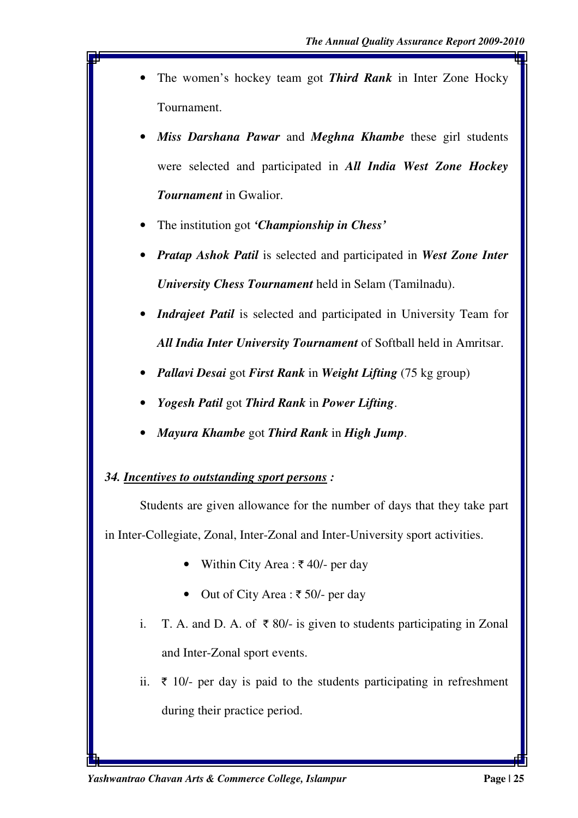- The women's hockey team got *Third Rank* in Inter Zone Hocky Tournament.
- *Miss Darshana Pawar* and *Meghna Khambe* these girl students were selected and participated in *All India West Zone Hockey Tournament* in Gwalior.
- The institution got *'Championship in Chess'*
- *Pratap Ashok Patil* is selected and participated in *West Zone Inter University Chess Tournament* held in Selam (Tamilnadu).
- *Indrajeet Patil* is selected and participated in University Team for *All India Inter University Tournament* of Softball held in Amritsar.
- *Pallavi Desai* got *First Rank* in *Weight Lifting* (75 kg group)
- *Yogesh Patil* got *Third Rank* in *Power Lifting*.
- *Mayura Khambe* got *Third Rank* in *High Jump*.

#### *34. Incentives to outstanding sport persons :*

 Students are given allowance for the number of days that they take part in Inter-Collegiate, Zonal, Inter-Zonal and Inter-University sport activities.

- Within City Area :  $\bar{\tau}$  40/- per day
- Out of City Area :  $\bar{\tau}$  50/- per day
- i. T. A. and D. A. of  $\bar{\tau}$  80/- is given to students participating in Zonal and Inter-Zonal sport events.
- ii.  $\bar{\tau}$  10/- per day is paid to the students participating in refreshment during their practice period.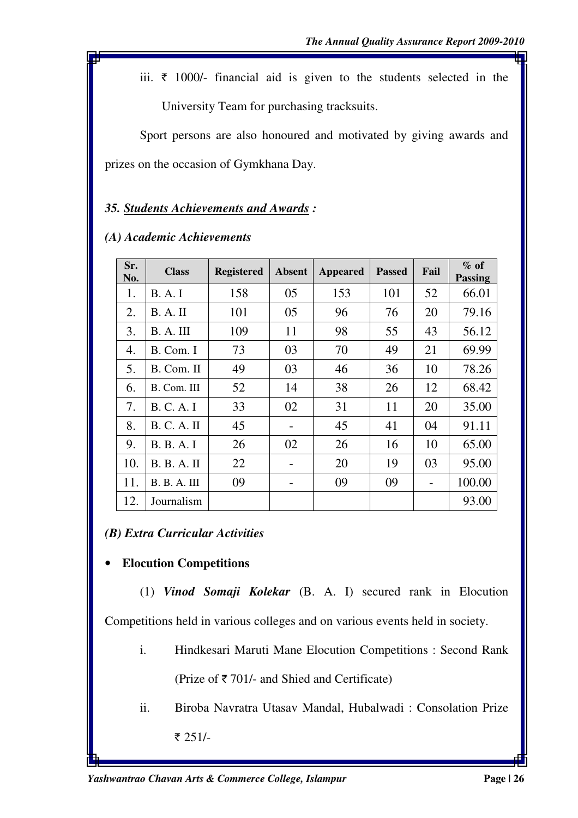iii.  $\bar{\tau}$  1000/- financial aid is given to the students selected in the University Team for purchasing tracksuits.

Sport persons are also honoured and motivated by giving awards and prizes on the occasion of Gymkhana Day.

# *35. Students Achievements and Awards :*

| Sr.<br>No. | <b>Class</b>        | <b>Registered</b> | <b>Absent</b>            | <b>Appeared</b> | <b>Passed</b> | Fail | $\%$ of<br><b>Passing</b> |
|------------|---------------------|-------------------|--------------------------|-----------------|---------------|------|---------------------------|
| 1.         | <b>B.A.I</b>        | 158               | 05                       | 153             | 101           | 52   | 66.01                     |
| 2.         | B. A. II            | 101               | 05                       | 96              | 76            | 20   | 79.16                     |
| 3.         | B. A. III           | 109               | 11                       | 98              | 55            | 43   | 56.12                     |
| 4.         | B. Com. I           | 73                | 03                       | 70              | 49            | 21   | 69.99                     |
| 5.         | B. Com. II          | 49                | 03                       | 46              | 36            | 10   | 78.26                     |
| 6.         | B. Com. III         | 52                | 14                       | 38              | 26            | 12   | 68.42                     |
| 7.         | <b>B. C. A. I</b>   | 33                | 02                       | 31              | 11            | 20   | 35.00                     |
| 8.         | <b>B. C. A. II</b>  | 45                | $\overline{\phantom{a}}$ | 45              | 41            | 04   | 91.11                     |
| 9.         | <b>B. B. A. I</b>   | 26                | 02                       | 26              | 16            | 10   | 65.00                     |
| 10.        | B. B. A. II         | 22                | -                        | 20              | 19            | 03   | 95.00                     |
| 11.        | <b>B. B. A. III</b> | 09                | -                        | 09              | 09            |      | 100.00                    |
| 12.        | Journalism          |                   |                          |                 |               |      | 93.00                     |

#### *(A) Academic Achievements*

*(B) Extra Curricular Activities* 

# • **Elocution Competitions**

 (1) *Vinod Somaji Kolekar* (B. A. I) secured rank in Elocution Competitions held in various colleges and on various events held in society.

- i. Hindkesari Maruti Mane Elocution Competitions : Second Rank (Prize of  $\bar{\tau}$  701/- and Shied and Certificate)
- ii. Biroba Navratra Utasav Mandal, Hubalwadi : Consolation Prize ₹ 251/-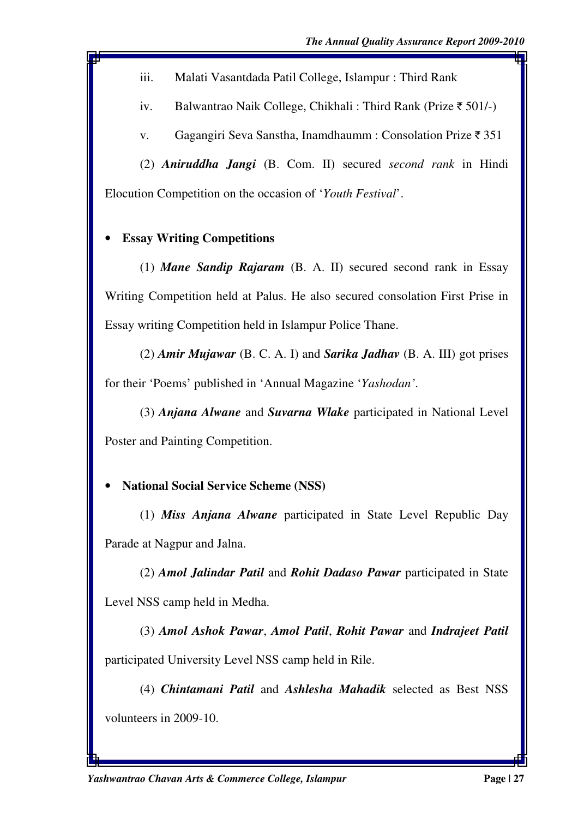iii. Malati Vasantdada Patil College, Islampur : Third Rank

iv. Balwantrao Naik College, Chikhali : Third Rank (Prize  $\bar{\tau}$  501/-)

v. Gagangiri Seva Sanstha, Inamdhaumm : Consolation Prize  $\bar{\tau}$  351

(2) *Aniruddha Jangi* (B. Com. II) secured *second rank* in Hindi Elocution Competition on the occasion of '*Youth Festival*'.

# • **Essay Writing Competitions**

(1) *Mane Sandip Rajaram* (B. A. II) secured second rank in Essay Writing Competition held at Palus. He also secured consolation First Prise in Essay writing Competition held in Islampur Police Thane.

(2) *Amir Mujawar* (B. C. A. I) and *Sarika Jadhav* (B. A. III) got prises for their 'Poems' published in 'Annual Magazine '*Yashodan'*.

(3) *Anjana Alwane* and *Suvarna Wlake* participated in National Level Poster and Painting Competition.

# • **National Social Service Scheme (NSS)**

(1) *Miss Anjana Alwane* participated in State Level Republic Day Parade at Nagpur and Jalna.

(2) *Amol Jalindar Patil* and *Rohit Dadaso Pawar* participated in State Level NSS camp held in Medha.

(3) *Amol Ashok Pawar*, *Amol Patil*, *Rohit Pawar* and *Indrajeet Patil* participated University Level NSS camp held in Rile.

(4) *Chintamani Patil* and *Ashlesha Mahadik* selected as Best NSS volunteers in 2009-10.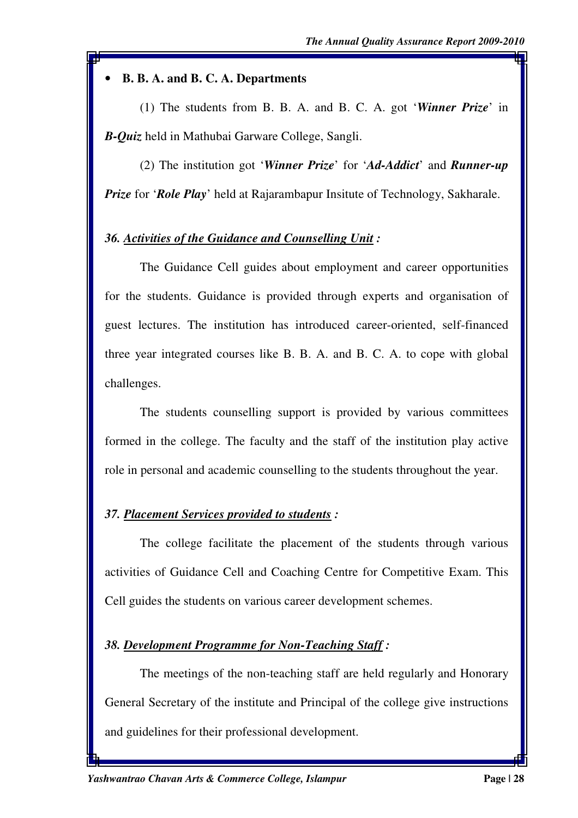#### • **B. B. A. and B. C. A. Departments**

(1) The students from B. B. A. and B. C. A. got '*Winner Prize*' in *B-Quiz* held in Mathubai Garware College, Sangli.

(2) The institution got '*Winner Prize*' for '*Ad-Addict*' and *Runner-up Prize* for '*Role Play*' held at Rajarambapur Insitute of Technology, Sakharale.

# *36. Activities of the Guidance and Counselling Unit :*

 The Guidance Cell guides about employment and career opportunities for the students. Guidance is provided through experts and organisation of guest lectures. The institution has introduced career-oriented, self-financed three year integrated courses like B. B. A. and B. C. A. to cope with global challenges.

 The students counselling support is provided by various committees formed in the college. The faculty and the staff of the institution play active role in personal and academic counselling to the students throughout the year.

# *37. Placement Services provided to students :*

 The college facilitate the placement of the students through various activities of Guidance Cell and Coaching Centre for Competitive Exam. This Cell guides the students on various career development schemes.

# *38. Development Programme for Non-Teaching Staff :*

 The meetings of the non-teaching staff are held regularly and Honorary General Secretary of the institute and Principal of the college give instructions and guidelines for their professional development.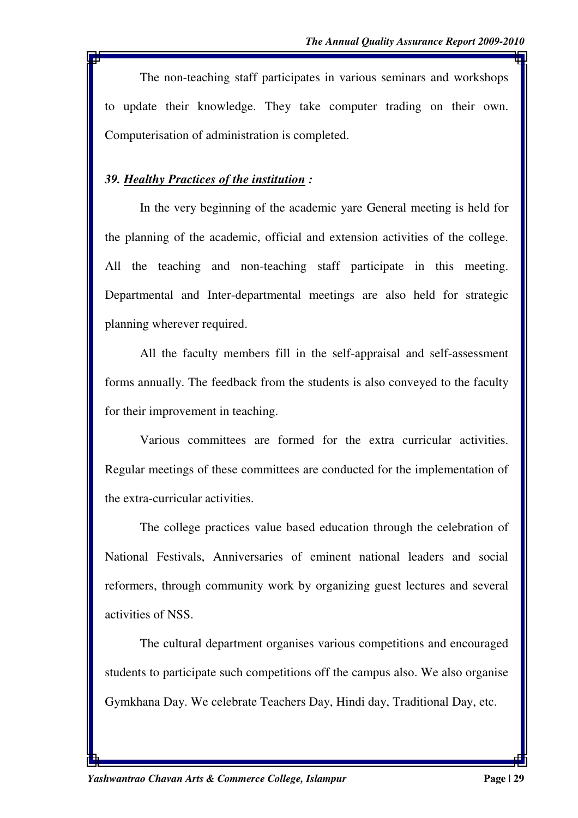The non-teaching staff participates in various seminars and workshops to update their knowledge. They take computer trading on their own. Computerisation of administration is completed.

#### *39. Healthy Practices of the institution :*

 In the very beginning of the academic yare General meeting is held for the planning of the academic, official and extension activities of the college. All the teaching and non-teaching staff participate in this meeting. Departmental and Inter-departmental meetings are also held for strategic planning wherever required.

 All the faculty members fill in the self-appraisal and self-assessment forms annually. The feedback from the students is also conveyed to the faculty for their improvement in teaching.

 Various committees are formed for the extra curricular activities. Regular meetings of these committees are conducted for the implementation of the extra-curricular activities.

 The college practices value based education through the celebration of National Festivals, Anniversaries of eminent national leaders and social reformers, through community work by organizing guest lectures and several activities of NSS.

 The cultural department organises various competitions and encouraged students to participate such competitions off the campus also. We also organise Gymkhana Day. We celebrate Teachers Day, Hindi day, Traditional Day, etc.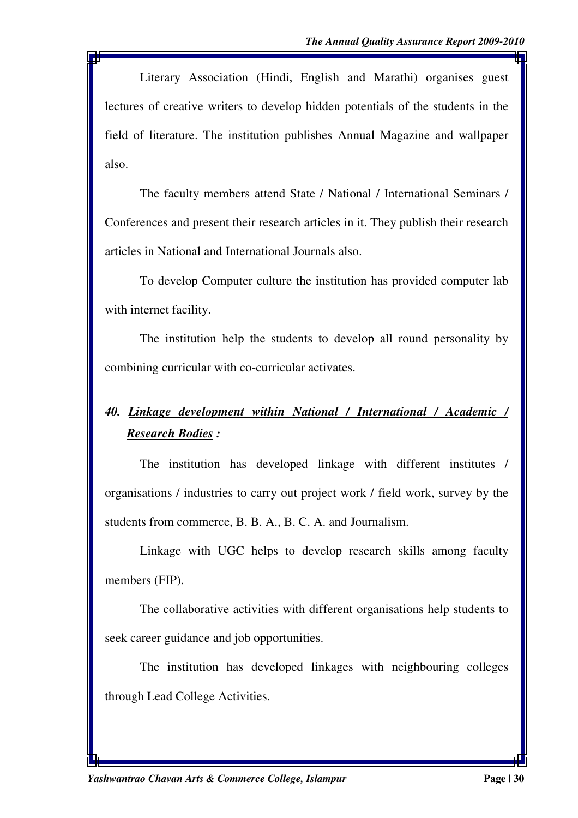Literary Association (Hindi, English and Marathi) organises guest lectures of creative writers to develop hidden potentials of the students in the field of literature. The institution publishes Annual Magazine and wallpaper also.

 The faculty members attend State / National / International Seminars / Conferences and present their research articles in it. They publish their research articles in National and International Journals also.

 To develop Computer culture the institution has provided computer lab with internet facility.

 The institution help the students to develop all round personality by combining curricular with co-curricular activates.

# *40. Linkage development within National / International / Academic / Research Bodies :*

 The institution has developed linkage with different institutes / organisations / industries to carry out project work / field work, survey by the students from commerce, B. B. A., B. C. A. and Journalism.

 Linkage with UGC helps to develop research skills among faculty members (FIP).

 The collaborative activities with different organisations help students to seek career guidance and job opportunities.

 The institution has developed linkages with neighbouring colleges through Lead College Activities.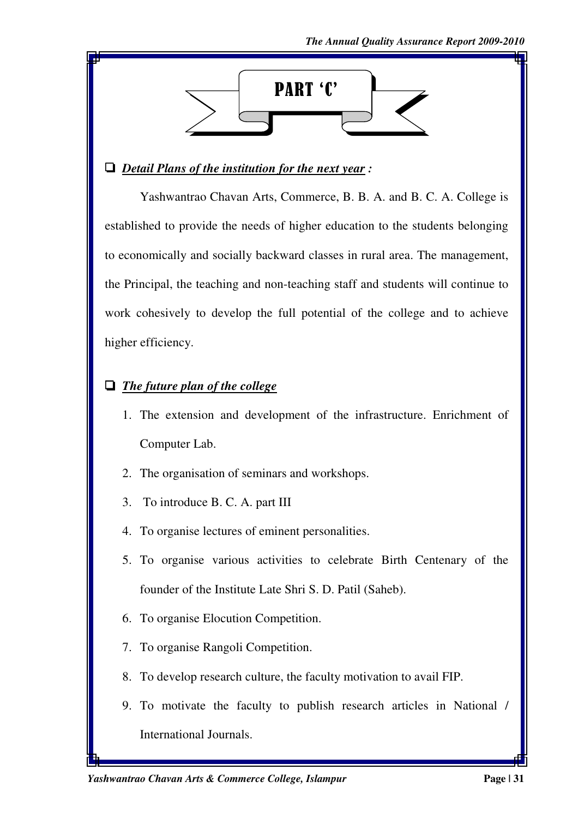

# ' *Detail Plans of the institution for the next year :*

 Yashwantrao Chavan Arts, Commerce, B. B. A. and B. C. A. College is established to provide the needs of higher education to the students belonging to economically and socially backward classes in rural area. The management, the Principal, the teaching and non-teaching staff and students will continue to work cohesively to develop the full potential of the college and to achieve higher efficiency.

# $\Box$  *The future plan of the college*

- 1. The extension and development of the infrastructure. Enrichment of Computer Lab.
- 2. The organisation of seminars and workshops.
- 3. To introduce B. C. A. part III
- 4. To organise lectures of eminent personalities.
- 5. To organise various activities to celebrate Birth Centenary of the founder of the Institute Late Shri S. D. Patil (Saheb).
- 6. To organise Elocution Competition.
- 7. To organise Rangoli Competition.
- 8. To develop research culture, the faculty motivation to avail FIP.
- 9. To motivate the faculty to publish research articles in National / International Journals.